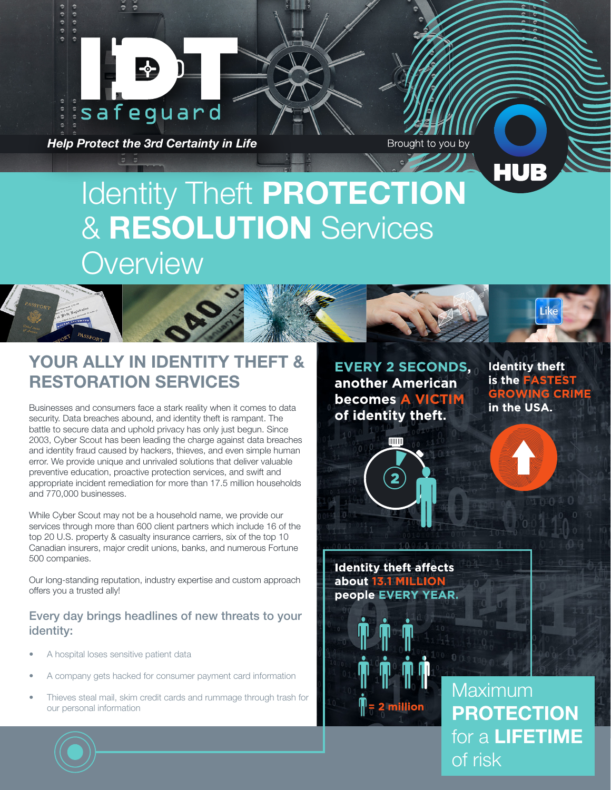

*Help Protect the 3rd Certainty in Life*

Brought to you by

# Identity Theft PROTECTION & RESOLUTION Services **Overview**



Businesses and consumers face a stark reality when it comes to data security. Data breaches abound, and identity theft is rampant. The battle to secure data and uphold privacy has only just begun. Since 2003, Cyber Scout has been leading the charge against data breaches and identity fraud caused by hackers, thieves, and even simple human error. We provide unique and unrivaled solutions that deliver valuable preventive education, proactive protection services, and swift and appropriate incident remediation for more than 17.5 million households and 770,000 businesses.

While Cyber Scout may not be a household name, we provide our services through more than 600 client partners which include 16 of the top 20 U.S. property & casualty insurance carriers, six of the top 10 Canadian insurers, major credit unions, banks, and numerous Fortune 500 companies.

Our long-standing reputation, industry expertise and custom approach offers you a trusted ally!

#### Every day brings headlines of new threats to your identity:

- A hospital loses sensitive patient data
- A company gets hacked for consumer payment card information
- Thieves steal mail, skim credit cards and rummage through trash for our personal information

**EVERY 2 SECONDS,** another American **becomes A VICTIM** of identity theft.

**Identity theft** is the FASTEST **GROWING CRIME**<br>in the USA.



**Identity theft affects** about 13.1 MILLION people EVERY YEAR.



Maximum PROTECTION for a LIFETIME of risk